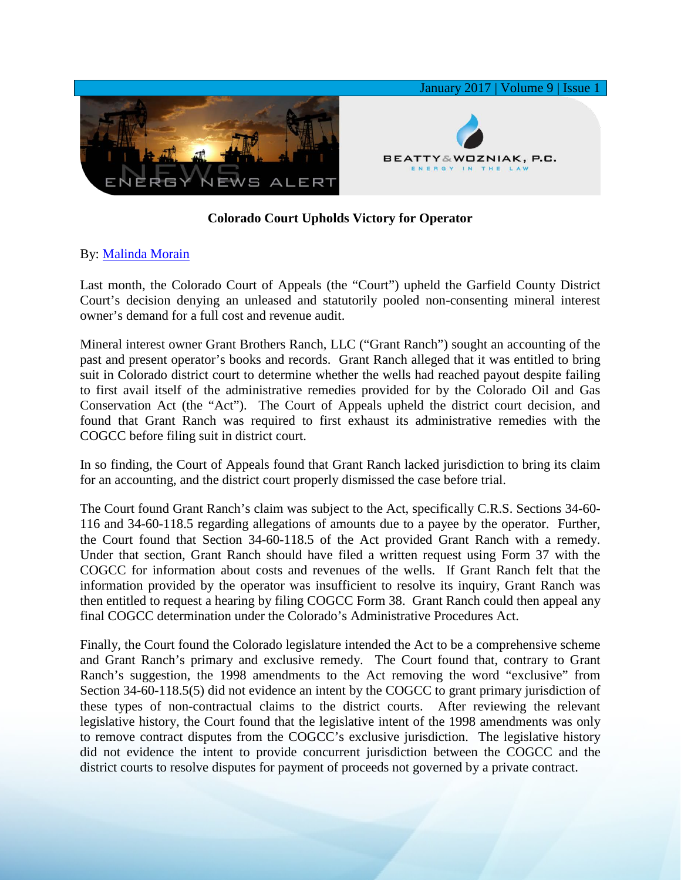

## **Colorado Court Upholds Victory for Operator**

## By: [Malinda Morain](http://www.bwenergylaw.com/malinda-morain)

Last month, the Colorado Court of Appeals (the "Court") upheld the Garfield County District Court's decision denying an unleased and statutorily pooled non-consenting mineral interest owner's demand for a full cost and revenue audit.

Mineral interest owner Grant Brothers Ranch, LLC ("Grant Ranch") sought an accounting of the past and present operator's books and records. Grant Ranch alleged that it was entitled to bring suit in Colorado district court to determine whether the wells had reached payout despite failing to first avail itself of the administrative remedies provided for by the Colorado Oil and Gas Conservation Act (the "Act"). The Court of Appeals upheld the district court decision, and found that Grant Ranch was required to first exhaust its administrative remedies with the COGCC before filing suit in district court.

In so finding, the Court of Appeals found that Grant Ranch lacked jurisdiction to bring its claim for an accounting, and the district court properly dismissed the case before trial.

The Court found Grant Ranch's claim was subject to the Act, specifically C.R.S. Sections 34-60- 116 and 34-60-118.5 regarding allegations of amounts due to a payee by the operator. Further, the Court found that Section 34-60-118.5 of the Act provided Grant Ranch with a remedy. Under that section, Grant Ranch should have filed a written request using Form 37 with the COGCC for information about costs and revenues of the wells. If Grant Ranch felt that the information provided by the operator was insufficient to resolve its inquiry, Grant Ranch was then entitled to request a hearing by filing COGCC Form 38. Grant Ranch could then appeal any final COGCC determination under the Colorado's Administrative Procedures Act.

Finally, the Court found the Colorado legislature intended the Act to be a comprehensive scheme and Grant Ranch's primary and exclusive remedy. The Court found that, contrary to Grant Ranch's suggestion, the 1998 amendments to the Act removing the word "exclusive" from Section 34-60-118.5(5) did not evidence an intent by the COGCC to grant primary jurisdiction of these types of non-contractual claims to the district courts. After reviewing the relevant legislative history, the Court found that the legislative intent of the 1998 amendments was only to remove contract disputes from the COGCC's exclusive jurisdiction. The legislative history did not evidence the intent to provide concurrent jurisdiction between the COGCC and the district courts to resolve disputes for payment of proceeds not governed by a private contract.